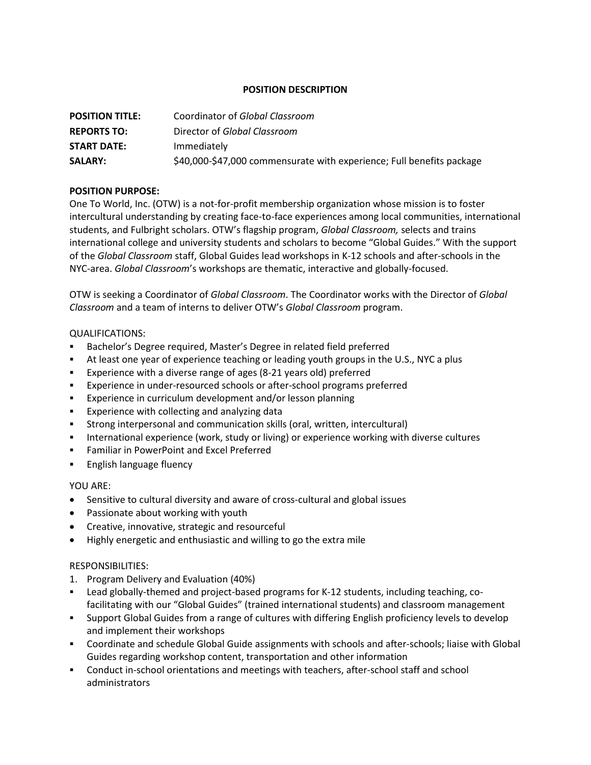## **POSITION DESCRIPTION**

| <b>POSITION TITLE:</b> | Coordinator of Global Classroom                                       |
|------------------------|-----------------------------------------------------------------------|
| <b>REPORTS TO:</b>     | Director of Global Classroom                                          |
| <b>START DATE:</b>     | Immediately                                                           |
| <b>SALARY:</b>         | \$40,000-\$47,000 commensurate with experience; Full benefits package |

# **POSITION PURPOSE:**

One To World, Inc. (OTW) is a not-for-profit membership organization whose mission is to foster intercultural understanding by creating face-to-face experiences among local communities, international students, and Fulbright scholars. OTW's flagship program, *Global Classroom,* selects and trains international college and university students and scholars to become "Global Guides." With the support of the *Global Classroom* staff, Global Guides lead workshops in K-12 schools and after-schools in the NYC-area. *Global Classroom*'s workshops are thematic, interactive and globally-focused.

OTW is seeking a Coordinator of *Global Classroom*. The Coordinator works with the Director of *Global Classroom* and a team of interns to deliver OTW's *Global Classroom* program.

### QUALIFICATIONS:

- Bachelor's Degree required, Master's Degree in related field preferred
- At least one year of experience teaching or leading youth groups in the U.S., NYC a plus
- Experience with a diverse range of ages (8-21 years old) preferred
- **Experience in under-resourced schools or after-school programs preferred**
- **Experience in curriculum development and/or lesson planning**
- **Experience with collecting and analyzing data**
- Strong interpersonal and communication skills (oral, written, intercultural)
- **International experience (work, study or living) or experience working with diverse cultures**
- **Familiar in PowerPoint and Excel Preferred**
- **English language fluency**

### YOU ARE:

- Sensitive to cultural diversity and aware of cross-cultural and global issues
- Passionate about working with youth
- Creative, innovative, strategic and resourceful
- Highly energetic and enthusiastic and willing to go the extra mile

### RESPONSIBILITIES:

- 1. Program Delivery and Evaluation (40%)
- Lead globally-themed and project-based programs for K-12 students, including teaching, cofacilitating with our "Global Guides" (trained international students) and classroom management
- Support Global Guides from a range of cultures with differing English proficiency levels to develop and implement their workshops
- Coordinate and schedule Global Guide assignments with schools and after-schools; liaise with Global Guides regarding workshop content, transportation and other information
- Conduct in-school orientations and meetings with teachers, after-school staff and school administrators